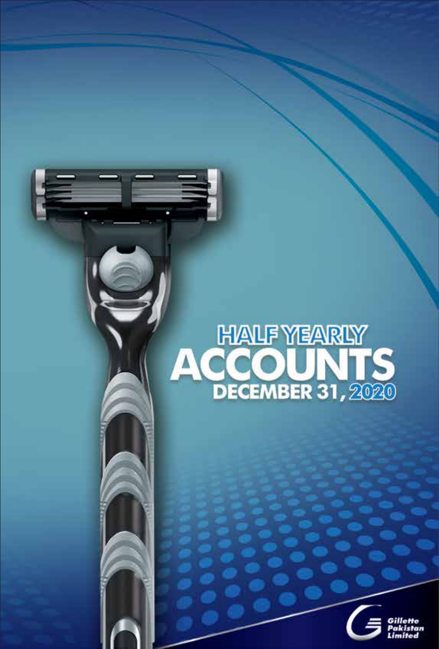# **HALF YEARLY<br>ACCOUNTS**<br>DECEMBER 31, 2020

š

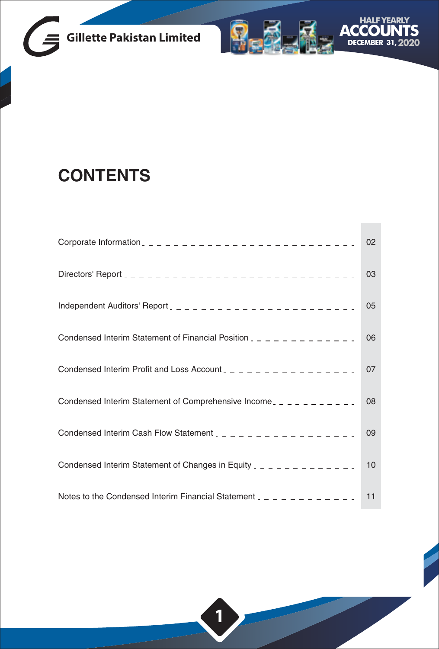



**Contract** 

## **CONTENTS**

|                                                                              | 02 |
|------------------------------------------------------------------------------|----|
|                                                                              | 03 |
|                                                                              | 05 |
| Condensed Interim Statement of Financial Position $2 - 2 - 2 - 2 - 2 - 2$    | 06 |
| Condensed Interim Profit and Loss Account $2 - 2 - 2 - 2 - 2 - 2 - 2 - 2$    | 07 |
| Condensed Interim Statement of Comprehensive Income $z = 2 - 2 - 2 - 1$      | 08 |
| Condensed Interim Cash Flow Statement $2 - 2 - 2 - 2 - 2 - 2 - 2 - 2$        | 09 |
| Condensed Interim Statement of Changes in Equity $2 - 2 - 2 - 2 - 2 - 2 - 2$ | 10 |
| Notes to the Condensed Interim Financial Statement $2 - 2 - 2 - 2 - 2 - 1$   | 11 |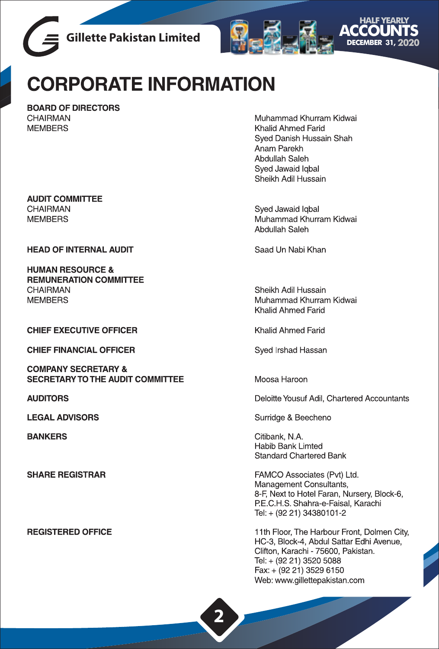



# **CORPORATE INFORMATION**

**BOARD OF DIRECTORS** CHAIRMAN **MEMBERS** 

**AUDIT COMMITTEE** CHAIRMAN **MEMBERS** 

**HEAD OF INTERNAL AUDIT** 

**HUMAN RESOURCE & REMUNERATION COMMITTEE CHAIRMAN MEMBERS** 

**CHIEF EXECUTIVE OFFICER** 

**CHIEF FINANCIAL OFFICER** 

**COMPANY SECRETARY & SECRETARY TO THE AUDIT COMMITTEE** 

**AUDITORS** 

**LEGAL ADVISORS** 

**BANKERS** 

**SHARE REGISTRAR** 

**REGISTERED OFFICE** 

Muhammad Khurram Kidwai Khalid Ahmed Farid Syed Danish Hussain Shah Anam Parekh Abdullah Saleh Sved Jawaid Igbal Sheikh Adil Hussain

Syed Jawaid Iqbal Muhammad Khurram Kidwai Abdullah Saleh

Saad Un Nabi Khan

Sheikh Adil Hussain Muhammad Khurram Kidwai Khalid Ahmed Farid

Khalid Ahmed Farid

Syed Irshad Hassan

Moosa Haroon

Deloitte Yousuf Adil, Chartered Accountants

Surridge & Beecheno

Citibank, N.A. Habib Bank Limted **Standard Chartered Bank** 

FAMCO Associates (Pvt) Ltd. Management Consultants, 8-F, Next to Hotel Faran, Nursery, Block-6, P.E.C.H.S. Shahra-e-Faisal, Karachi Tel: + (92 21) 34380101-2

11th Floor, The Harbour Front, Dolmen City, HC-3, Block-4, Abdul Sattar Edhi Avenue, Clifton, Karachi - 75600, Pakistan. Tel: + (92 21) 3520 5088 Fax: + (92 21) 3529 6150 Web: www.gillettepakistan.com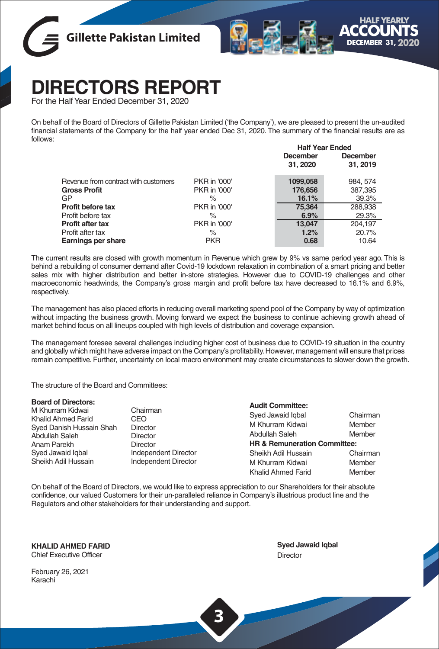



# **DIRECTORS REPORT**

For the Half Year Ended December 31, 2020

On behalf of the Board of Directors of Gillette Pakistan Limited ('the Company'), we are pleased to present the un-audited financial statements of the Company for the half year ended Dec 31, 2020. The summary of the financial results are as follows:

|                                      |              | <b>Half Year Ended</b> |          |
|--------------------------------------|--------------|------------------------|----------|
|                                      |              | <b>December</b>        | December |
|                                      |              | 31, 2020               | 31, 2019 |
| Revenue from contract with customers | PKR in '000' | 1099,058               | 984, 574 |
| <b>Gross Profit</b>                  | PKR in '000' | 176,656                | 387,395  |
| GP                                   | $\%$         | 16.1%                  | 39.3%    |
| Profit before tax                    | PKR in '000' | 75.364                 | 288,938  |
| Profit before tax                    | $\%$         | 6.9%                   | 29.3%    |
| <b>Profit after tax</b>              | PKR in '000' | 13,047                 | 204.197  |
| Profit after tax                     | $\%$         | 1.2%                   | 20.7%    |
| Earnings per share                   | <b>PKR</b>   | 0.68                   | 10.64    |
|                                      |              |                        |          |

The current results are closed with growth momentum in Revenue which grew by 9% vs same period year ago. This is behind a rebuilding of consumer demand after Covid-19 lockdown relaxation in combination of a smart pricing and better sales mix with higher distribution and better in-store strategies. However due to COVID-19 challenges and other macroeconomic headwinds, the Company's gross margin and profit before tax have decreased to 16.1% and 6.9%, respectively.

The management has also placed efforts in reducing overall marketing spend pool of the Company by way of optimization without impacting the business growth. Moving forward we expect the business to continue achieving growth ahead of market behind focus on all lineups coupled with high levels of distribution and coverage expansion.

The management foresee several challenges including higher cost of business due to COVID-19 situation in the country and globally which might have adverse impact on the Company's profitability. However, management will ensure that prices remain competitive. Further, uncertainty on local macro environment may create circumstances to slower down the growth.

The structure of the Board and Committees:

#### **Board of Directors:**

| M Khurram Kidwai          | Chai  |
|---------------------------|-------|
| <b>Khalid Ahmed Farid</b> | CEO   |
| Syed Danish Hussain Shah  | Direc |
| Abdullah Saleh            | Direc |
| Anam Parekh               | Direc |
| Syed Jawaid Igbal         | Inder |
| Sheikh Adil Hussain       | Inder |
|                           |       |

Chairman<br>CFO Director Director Director Independent Director Independent Director **Audit Committee:** Syed Jawaid Iqbal **Chairman** M Khurram Kidwai Member Abdullah Saleh Member **HR & Remuneration Committee:** Sheikh Adil Hussain M Khurram Kidwai **Member** Khalid Ahmed Farid Member

On behalf of the Board of Directors, we would like to express appreciation to our Shareholders for their absolute confidence, our valued Customers for their un-paralleled reliance in Company's illustrious product line and the Regulators and other stakeholders for their understanding and support.

**KHALID AHMED FARID** Chief Executive Officer

**Syed Jawaid Iqbal Director** 

February 26, 2021 Karachi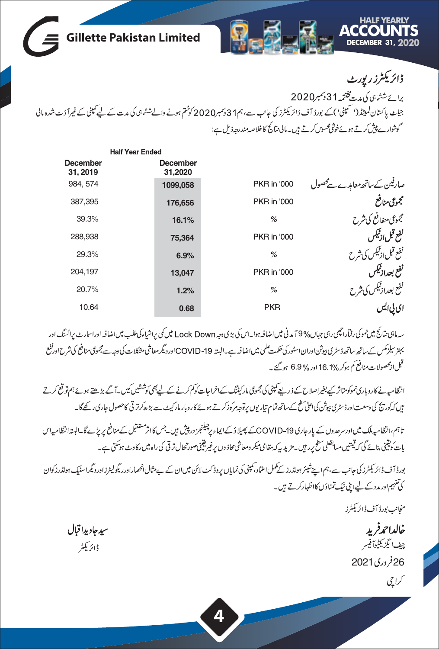

|                             | <b>Half Year Ended</b>     |                    |                              |
|-----------------------------|----------------------------|--------------------|------------------------------|
| <b>December</b><br>31, 2019 | <b>December</b><br>31,2020 |                    |                              |
| 984, 574                    | 1099,058                   | PKR in '000        | صارفین کےساتھ معامدے سےمحصول |
| 387,395                     | 176,656                    | PKR in '000        | مجموعى منافع                 |
| 39.3%                       | 16.1%                      | $\%$               | مجموعى منفافع كى شرح         |
| 288,938                     | 75,364                     | PKR in '000        | نفع قبل ازنيكس               |
| 29.3%                       | 6.9%                       | %                  | نفع قبل ازئیکس کی شرح        |
| 204.197                     | 13,047                     | <b>PKR</b> in '000 | نفع بعدازقيكس                |
| 20.7%                       | 1.2%                       | %                  | نفع بعداز ٹیکس کی شرح        |
| 10.64                       | 0.68                       | <b>PKR</b>         |                              |

سەمابىي نتائج ميں نموكى رفتاراچھى رہى جہاں% 9 مدنى ميں اضافہ ہوا۔اس كى بڑى دجہ Lock Down ميں كى پراشياءكى طلب ميں اضافہ اوراسارٹ پرائسنگ اور یہتر سلزمکس کے ساتھ ساتھ ڈسٹری پیوٹن اوران اسٹور کی حکمت علمی میں اضافہ ہے۔البتہ 19- COVID اور دیگر معاشی مشکلات کی وجہ سے مجموعی منافع کی شرح اورنفع قبل ازمحصولات منافع کم ہوکر 16.1% اور %6.9 ہو گئے ۔

انتظامیہ نے کاروباری نموکومتاثر کے بغیراصلاح کے ذریعے کمپنی کی مجموعی مارکیٹنگ کے کوکشک کو کشش کیل سے بڑھتے ہوئے ہم تو قع کرتے ہیں کہ کوریج کی دسعت اورڈسٹری ہیوٹن کی اعلیٰ سطح کے ساتھ تمام تیار یوں پر توجہ مرکوز کرتے ہوں۔ پیچے کہ اس کے اس اس کے گا۔

تاہم،انظامیہ ملک میں اورسرحدوں کے بار حاری COVID-19کے پھیلا دُ کے ایماء پر چیلنجز در پیش ہیں۔جس کااثرمشقبل کےمنافع پریڑے گا۔البتہا نظامیہاس بات کوتینی بنائے گی کہ قیمتیں مسابقطی سطح پر وہیں جزید سپر پید تقامی محیر قیمتوں کو بھی پینی صورتحال ترقی کی راہ میں رکاوٹ ہوسکتی ہے۔

بورڈ آف ڈائریکٹرز کی جانب سے،ہم اپنےشیئر ہولڈرز کے کمل اعتماد،کمپنی کی نمایاں پروڈ کٹ لائن میں ان کے بےمثال انھماراورریگولیٹرزاوردیگراسٹیک ہولڈرزکوان کی تفہیم اور مدد کے لیےا مٹی نیک تمناؤں کااظہارکرتے ہیں۔

منجانب بورڈ آف ڈائریکٹرز

خالداحمرفريد چ<sub>ىف</sub> ئېزىك<sup>ى</sup>توآفپىر 2021 26کراچی

سيدجاويدا قبال ڈائریکٹر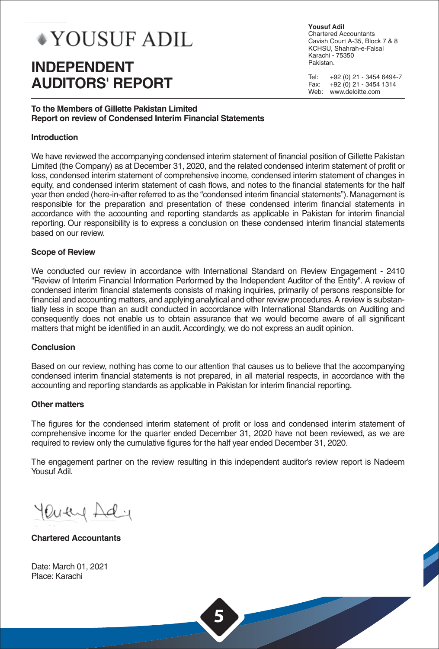# **\*YOUSUF ADIL**

## **INDEPENDENT AUDITORS' REPORT**

**Yousuf Adil** Chartered Accountants Cavish Court A-35, Block 7 & 8 KCHSU, Shahrah-e-Faisal Karachi - 75350 Pakistan.

Tel: +92 (0) 21 - 3454 6494-7<br>Eax: +92 (0) 21 - 3454 1314 Fax: +92 (0) 21 - 3454 1314 Web: www.deloitte.com

#### **To the Members of Gillette Pakistan Limited Report on review of Condensed Interim Financial Statements**

#### **Introduction**

We have reviewed the accompanying condensed interim statement of financial position of Gillette Pakistan Limited (the Company) as at December 31, 2020, and the related condensed interim statement of profit or loss, condensed interim statement of comprehensive income, condensed interim statement of changes in equity, and condensed interim statement of cash flows, and notes to the financial statements for the half year then ended (here-in-after referred to as the "condensed interim financial statements"). Management is responsible for the preparation and presentation of these condensed interim financial statements in accordance with the accounting and reporting standards as applicable in Pakistan for interim financial reporting. Our responsibility is to express a conclusion on these condensed interim financial statements based on our review.

#### **Scope of Review**

We conducted our review in accordance with International Standard on Review Engagement - 2410 "Review of Interim Financial Information Performed by the Independent Auditor of the Entity". A review of condensed interim financial statements consists of making inquiries, primarily of persons responsible for financial and accounting matters, and applying analytical and other review procedures. A review is substantially less in scope than an audit conducted in accordance with International Standards on Auditing and consequently does not enable us to obtain assurance that we would become aware of all significant matters that might be identified in an audit. Accordingly, we do not express an audit opinion.

#### **Conclusion**

Based on our review, nothing has come to our attention that causes us to believe that the accompanying condensed interim financial statements is not prepared, in all material respects, in accordance with the accounting and reporting standards as applicable in Pakistan for interim financial reporting.

#### **Other matters**

The figures for the condensed interim statement of profit or loss and condensed interim statement of comprehensive income for the quarter ended December 31, 2020 have not been reviewed, as we are required to review only the cumulative figures for the half year ended December 31, 2020.

The engagement partner on the review resulting in this independent auditor's review report is Nadeem Yousuf Adil.

Putty Ad

**Chartered Accountants** 

Date: March 01, 2021 Place: Karachi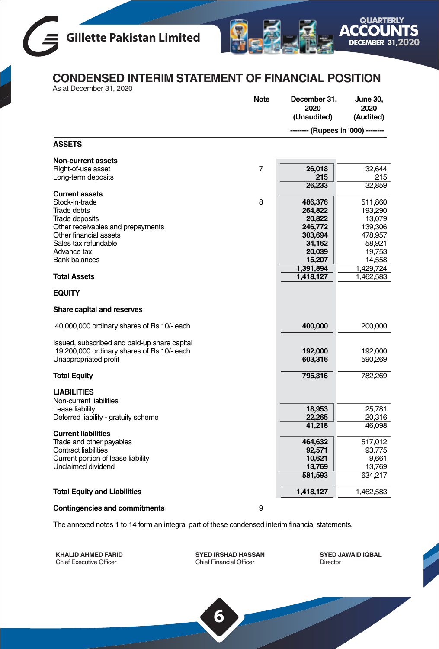



## **CONDENSED INTERIM STATEMENT OF FINANCIAL POSITION**

As at December 31, 2020

|                                                         | <b>Note</b>    | December 31,<br>2020<br>(Unaudited) | June 30,<br>2020<br>(Audited) |
|---------------------------------------------------------|----------------|-------------------------------------|-------------------------------|
|                                                         |                | (Rupees in '000) ---                |                               |
| <b>ASSETS</b>                                           |                |                                     |                               |
| Non-current assets                                      |                |                                     |                               |
| Right-of-use asset                                      | $\overline{7}$ | 26,018<br>215                       | 32,644                        |
| Long-term deposits                                      |                | 26,233                              | 215<br>32,859                 |
| <b>Current assets</b>                                   |                |                                     |                               |
| Stock-in-trade                                          | 8              | 486,376                             | 511,860                       |
| <b>Trade debts</b>                                      |                | 264,822                             | 193,290                       |
| Trade deposits                                          |                | 20,822                              | 13,079                        |
| Other receivables and prepayments                       |                | 246,772                             | 139,306                       |
| Other financial assets<br>Sales tax refundable          |                | 303,694<br>34,162                   | 478,957<br>58,921             |
| Advance tax                                             |                | 20,039                              | 19,753                        |
| <b>Bank balances</b>                                    |                | 15,207                              | 14,558                        |
|                                                         |                | 1,391,894                           | 1,429,724                     |
| <b>Total Assets</b>                                     |                | 1,418,127                           | 1,462,583                     |
| <b>EQUITY</b>                                           |                |                                     |                               |
| Share capital and reserves                              |                |                                     |                               |
| 40,000,000 ordinary shares of Rs.10/- each              |                | 400,000                             | 200,000                       |
| Issued, subscribed and paid-up share capital            |                |                                     |                               |
| 19,200,000 ordinary shares of Rs.10/- each              |                | 192,000                             | 192,000                       |
| Unappropriated profit                                   |                | 603,316                             | 590,269                       |
| <b>Total Equity</b>                                     |                | 795,316                             | 782,269                       |
|                                                         |                |                                     |                               |
| <b>LIABILITIES</b><br>Non-current liabilities           |                |                                     |                               |
| Lease liability                                         |                | 18,953                              | 25,781                        |
| Deferred liability - gratuity scheme                    |                | 22,265                              | 20,316                        |
|                                                         |                | 41,218                              | 46,098                        |
| <b>Current liabilities</b>                              |                |                                     |                               |
| Trade and other payables<br><b>Contract liabilities</b> |                | 464,632<br>92,571                   | 517,012<br>93,775             |
| Current portion of lease liability                      |                | 10,621                              | 9,661                         |
| Unclaimed dividend                                      |                | 13,769                              | 13,769                        |
|                                                         |                | 581,593                             | 634,217                       |
| <b>Total Equity and Liabilities</b>                     |                | 1,418,127                           | 1,462,583                     |
|                                                         |                |                                     |                               |
| <b>Contingencies and commitments</b>                    | 9              |                                     |                               |

The annexed notes 1 to 14 form an integral part of these condensed interim financial statements.

**KHALID AHMED FARID** Chief Executive Officer

**SYED IRSHAD HASSAN** Chief Financial Officer

**6**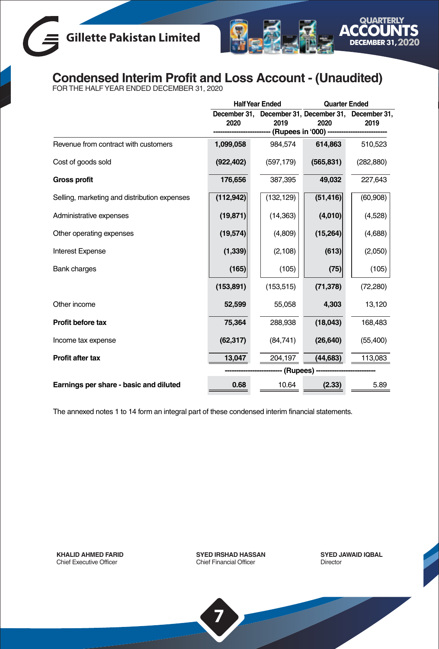

## **Condensed Interim Profit and Loss Account - (Unaudited)** FOR THE HALF YEAR ENDED DECEMBER 31, 2020

|                                              | <b>Half Year Ended</b> |                          | <b>Quarter Ended</b>                                        |            |
|----------------------------------------------|------------------------|--------------------------|-------------------------------------------------------------|------------|
|                                              | 2020                   | 2019<br>(Rupees in '000) | December 31, December 31, December 31, December 31,<br>2020 | 2019       |
| Revenue from contract with customers         | 1,099,058              | 984,574                  | 614,863                                                     | 510,523    |
| Cost of goods sold                           | (922, 402)             | (597, 179)               | (565, 831)                                                  | (282, 880) |
| <b>Gross profit</b>                          | 176,656                | 387,395                  | 49,032                                                      | 227,643    |
| Selling, marketing and distribution expenses | (112, 942)             | (132, 129)               | (51, 416)                                                   | (60, 908)  |
| Administrative expenses                      | (19, 871)              | (14, 363)                | (4,010)                                                     | (4,528)    |
| Other operating expenses                     | (19,574)               | (4,809)                  | (15, 264)                                                   | (4,688)    |
| <b>Interest Expense</b>                      | (1, 339)               | (2, 108)                 | (613)                                                       | (2,050)    |
| <b>Bank charges</b>                          | (165)                  | (105)                    | (75)                                                        | (105)      |
|                                              | (153, 891)             | (153, 515)               | (71, 378)                                                   | (72, 280)  |
| Other income                                 | 52,599                 | 55,058                   | 4,303                                                       | 13,120     |
| Profit before tax                            | 75,364                 | 288,938                  | (18,043)                                                    | 168,483    |
| Income tax expense                           | (62, 317)              | (84, 741)                | (26, 640)                                                   | (55, 400)  |
| <b>Profit after tax</b>                      | 13,047                 | 204,197                  | (44, 683)                                                   | 113,083    |
|                                              |                        | - (Rupees)               |                                                             |            |
| Earnings per share - basic and diluted       | 0.68                   | 10.64                    | (2.33)                                                      | 5.89       |

The annexed notes 1 to 14 form an integral part of these condensed interim financial statements.

**KHALID AHMED FARID** Chief Executive Officer

**SYED IRSHAD HASSAN** Chief Financial Officer

**7**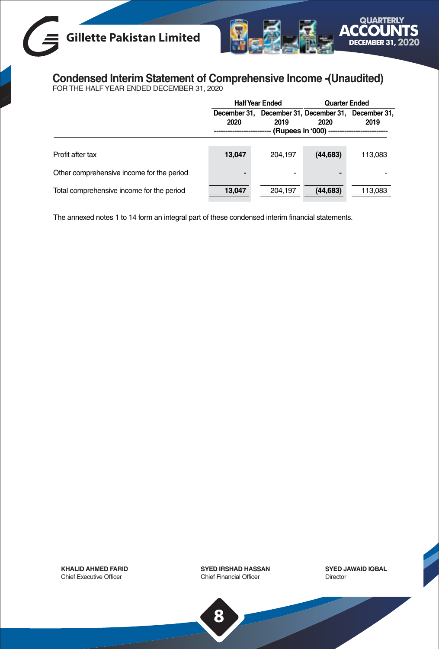## **Gillette Pakistan Limited**



## **Condensed Interim Statement of Comprehensive Income -(Unaudited)** FOR THE HALF YEAR ENDED DECEMBER 31, 2020

|                                           | <b>Half Year Ended</b> |                                                             | <b>Quarter Ended</b> |         |
|-------------------------------------------|------------------------|-------------------------------------------------------------|----------------------|---------|
|                                           | 2020                   | December 31, December 31, December 31, December 31,<br>2019 | 2020                 | 2019    |
| Profit after tax                          | 13.047                 | 204,197                                                     | (44, 683)            | 113,083 |
| Other comprehensive income for the period | -                      | -                                                           |                      |         |
| Total comprehensive income for the period | 13.047                 | 204.197                                                     | (44, 683)            | 113,083 |

The annexed notes 1 to 14 form an integral part of these condensed interim financial statements.

**KHALID AHMED FARID** Chief Executive Officer

**SYED IRSHAD HASSAN** Chief Financial Officer

**SYED JAWAID IQBAL** Director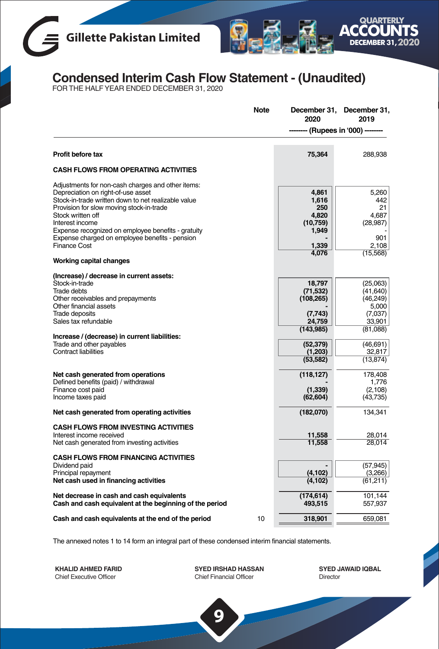



## **Condensed Interim Cash Flow Statement - (Unaudited)** FOR THE HALF YEAR ENDED DECEMBER 31, 2020

| <b>Note</b>                                                                                                                                                                                                                                                                                                                                                                                              | December 31,<br>2020                                                                                                                | December 31,<br>2019                                                                                                                            |
|----------------------------------------------------------------------------------------------------------------------------------------------------------------------------------------------------------------------------------------------------------------------------------------------------------------------------------------------------------------------------------------------------------|-------------------------------------------------------------------------------------------------------------------------------------|-------------------------------------------------------------------------------------------------------------------------------------------------|
|                                                                                                                                                                                                                                                                                                                                                                                                          |                                                                                                                                     | - (Rupees in '000) -                                                                                                                            |
| Profit before tax                                                                                                                                                                                                                                                                                                                                                                                        | 75,364                                                                                                                              | 288.938                                                                                                                                         |
| <b>CASH FLOWS FROM OPERATING ACTIVITIES</b>                                                                                                                                                                                                                                                                                                                                                              |                                                                                                                                     |                                                                                                                                                 |
| Adjustments for non-cash charges and other items:<br>Depreciation on right-of-use asset<br>Stock-in-trade written down to net realizable value<br>Provision for slow moving stock-in-trade<br>Stock written off<br>Interest income<br>Expense recognized on employee benefits - gratuity<br>Expense charged on employee benefits - pension<br><b>Finance Cost</b>                                        | 4,861<br>1.616<br>250<br>4.820<br>(10,759)<br>1,949<br>1,339                                                                        | 5,260<br>442<br>21<br>4.687<br>(28, 987)<br>901<br>2,108                                                                                        |
| Working capital changes                                                                                                                                                                                                                                                                                                                                                                                  | 4,076                                                                                                                               | (15, 568)                                                                                                                                       |
| (Increase) / decrease in current assets:<br>Stock-in-trade<br>Trade debts<br>Other receivables and prepayments<br>Other financial assets<br><b>Trade deposits</b><br>Sales tax refundable<br>Increase / (decrease) in current liabilities:<br>Trade and other payables<br><b>Contract liabilities</b><br>Net cash generated from operations<br>Defined benefits (paid) / withdrawal<br>Finance cost paid | 18,797<br>(71, 532)<br>(108, 265)<br>(7,743)<br>24.759<br>(143, 985)<br>(52, 379)<br>(1,203)<br>(53, 582)<br>(118, 127)<br>(1, 339) | (25,063)<br>(41, 640)<br>(46, 249)<br>5,000<br>(7,037)<br>33,901<br>(81,088)<br>(46,691)<br>32,817<br>(13, 874)<br>178,408<br>1.776<br>(2, 108) |
| Income taxes paid                                                                                                                                                                                                                                                                                                                                                                                        | (62, 604)                                                                                                                           | (43, 735)                                                                                                                                       |
| Net cash generated from operating activities                                                                                                                                                                                                                                                                                                                                                             | (182,070)                                                                                                                           | 134,341                                                                                                                                         |
| CASH FLOWS FROM INVESTING ACTIVITIES<br>Interest income received<br>Net cash generated from investing activities                                                                                                                                                                                                                                                                                         | 11,558<br>11,558                                                                                                                    | 28,014<br>28,014                                                                                                                                |
| <b>CASH FLOWS FROM FINANCING ACTIVITIES</b><br>Dividend paid<br>Principal repayment<br>Net cash used in financing activities                                                                                                                                                                                                                                                                             | (4, 102)<br>(4, 102)                                                                                                                | (57, 945)<br>(3,266)<br>(61,211)                                                                                                                |
| Net decrease in cash and cash equivalents<br>Cash and cash equivalent at the beginning of the period                                                                                                                                                                                                                                                                                                     | (174, 614)<br>493,515                                                                                                               | 101.144<br>557,937                                                                                                                              |
| 10<br>Cash and cash equivalents at the end of the period                                                                                                                                                                                                                                                                                                                                                 | 318,901                                                                                                                             | 659.081                                                                                                                                         |

The annexed notes 1 to 14 form an integral part of these condensed interim financial statements.

**KHALID AHMED FARID** Chief Executive Officer

**SYED IRSHAD HASSAN** Chief Financial Officer

**9**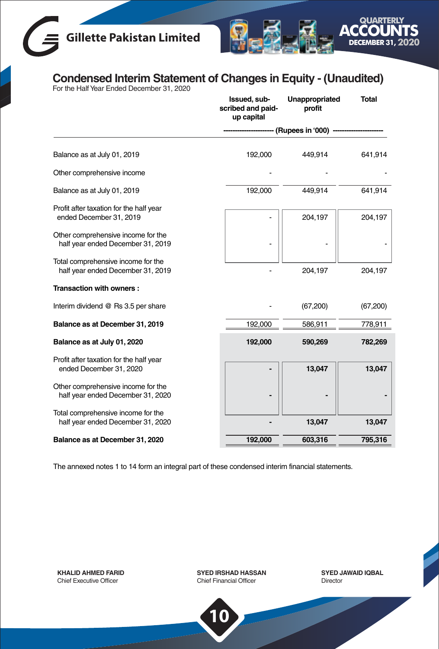# **Gillette Pakistan Limited**



## **Condensed Interim Statement of Changes in Equity - (Unaudited)** For the Half Year Ended December 31, 2020

| Issued, sub-<br>scribed and paid-<br>up capital | Unappropriated<br>profit | <b>Total</b>                 |
|-------------------------------------------------|--------------------------|------------------------------|
|                                                 |                          |                              |
| 192,000                                         | 449,914                  | 641,914                      |
|                                                 |                          |                              |
| 192,000                                         | 449,914                  | 641,914                      |
|                                                 | 204,197                  | 204,197                      |
|                                                 |                          |                              |
|                                                 | 204,197                  | 204,197                      |
|                                                 |                          |                              |
|                                                 | (67, 200)                | (67,200)                     |
| 192,000                                         | 586,911                  | 778,911                      |
| 192,000                                         | 590,269                  | 782,269                      |
|                                                 |                          |                              |
|                                                 |                          | 13,047                       |
|                                                 |                          |                              |
|                                                 | 13,047                   | 13,047                       |
| 192,000                                         | 603,316                  | 795,316                      |
|                                                 |                          | (Rupees in '000) -<br>13,047 |

The annexed notes 1 to 14 form an integral part of these condensed interim financial statements.

**KHALID AHMED FARID** Chief Executive Officer

**SYED IRSHAD HASSAN** Chief Financial Officer

**10**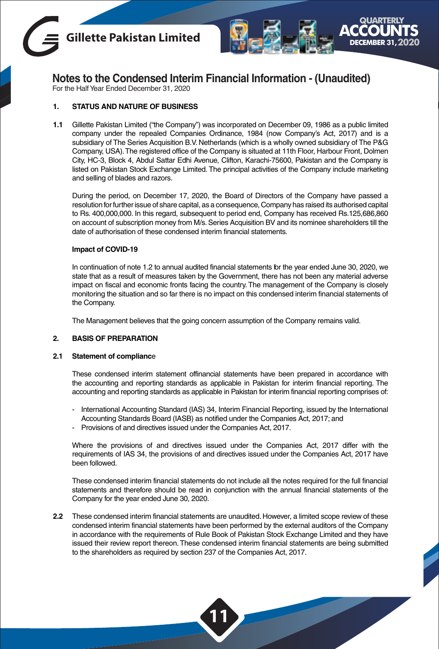



For the Half Year Ended December 31, 2020

#### **1. STATUS AND NATURE OF BUSINESS**

**1.1** Gillette Pakistan Limited ("the Company") was incorporated on December 09, 1986 as a public limited company under the repealed Companies Ordinance, 1984 (now Company's Act, 2017) and is a subsidiary of The Series Acquisition B.V. Netherlands (which is a wholly owned subsidiary of The P&G Company, USA).The registered office of the Company is situated at 11th Floor, Harbour Front, Dolmen City, HC-3, Block 4, Abdul Sattar Edhi Avenue, Clifton, Karachi-75600, Pakistan and the Company is listed on Pakistan Stock Exchange Limited. The principal activities of the Company include marketing and selling of blades and razors.

During the period, on December 17, 2020, the Board of Directors of the Company have passed a resolution for further issue of share capital, as a consequence, Company has raised its authorised capital to Rs. 400,000,000. In this regard, subsequent to period end, Company has received Rs.125,686,860 on account of subscription money from M/s. Series Acquisition BV and its nominee shareholders till the date of authorisation of these condensed interim financial statements.

#### **Impact of COVID-19**

In continuation of note 1.2 to annual audited financial statements for the year ended June 30, 2020, we state that as a result of measures taken by the Government, there has not been any material adverse impact on fiscal and economic fronts facing the country. The management of the Company is closely monitoring the situation and so far there is no impact on this condensed interim financial statements of the Company.

The Management believes that the going concern assumption of the Company remains valid.

#### **2. BASIS OF PREPARATION**

#### **2.1 Statement of complianc**e

These condensed interim statement offinancial statements have been prepared in accordance with the accounting and reporting standards as applicable in Pakistan for interim financial reporting. The accounting and reporting standards as applicable in Pakistan for interim financial reporting comprises of:

- International Accounting Standard (IAS) 34, Interim Financial Reporting, issued by the International Accounting Standards Board (IASB) as notified under the Companies Act, 2017; and
- Provisions of and directives issued under the Companies Act, 2017.

Where the provisions of and directives issued under the Companies Act, 2017 differ with the requirements of IAS 34, the provisions of and directives issued under the Companies Act, 2017 have been followed.

These condensed interim financial statements do not include all the notes required for the full financial statements and therefore should be read in conjunction with the annual financial statements of the Company for the year ended June 30, 2020.

**2.2** These condensed interim financial statements are unaudited. However, a limited scope review of these condensed interim financial statements have been performed by the external auditors of the Company in accordance with the requirements of Rule Book of Pakistan Stock Exchange Limited and they have issued their review report thereon.These condensed interim financial statements are being submitted to the shareholders as required by section 237 of the Companies Act, 2017.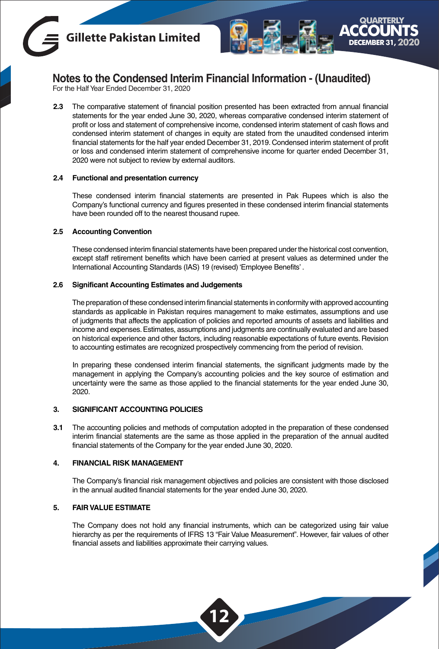



For the Half Year Ended December 31, 2020

**2.3** The comparative statement of financial position presented has been extracted from annual financial statements for the year ended June 30, 2020, whereas comparative condensed interim statement of profit or loss and statement of comprehensive income, condensed interim statement of cash flows and condensed interim statement of changes in equity are stated from the unaudited condensed interim financial statements for the half year ended December 31, 2019. Condensed interim statement of profit or loss and condensed interim statement of comprehensive income for quarter ended December 31, 2020 were not subject to review by external auditors.

#### **2.4 Functional and presentation currency**

These condensed interim financial statements are presented in Pak Rupees which is also the Company's functional currency and figures presented in these condensed interim financial statements have been rounded off to the nearest thousand rupee.

#### **2.5 Accounting Convention**

These condensed interim financial statements have been prepared under the historical cost convention, except staff retirement benefits which have been carried at present values as determined under the International Accounting Standards (IAS) 19 (revised) 'Employee Benefits' .

#### **2.6 Significant Accounting Estimates and Judgements**

The preparation of these condensed interim financial statements in conformity with approved accounting standards as applicable in Pakistan requires management to make estimates, assumptions and use of judgments that affects the application of policies and reported amounts of assets and liabilities and income and expenses. Estimates, assumptions and judgments are continually evaluated and are based on historical experience and other factors, including reasonable expectations of future events. Revision to accounting estimates are recognized prospectively commencing from the period of revision.

In preparing these condensed interim financial statements, the significant judgments made by the management in applying the Company's accounting policies and the key source of estimation and uncertainty were the same as those applied to the financial statements for the year ended June 30, 2020.

#### **3. SIGNIFICANT ACCOUNTING POLICIES**

**3.1** The accounting policies and methods of computation adopted in the preparation of these condensed interim financial statements are the same as those applied in the preparation of the annual audited financial statements of the Company for the year ended June 30, 2020.

#### **4. FINANCIAL RISK MANAGEMENT**

The Company's financial risk management objectives and policies are consistent with those disclosed in the annual audited financial statements for the year ended June 30, 2020.

#### **5. FAIR VALUE ESTIMATE**

The Company does not hold any financial instruments, which can be categorized using fair value hierarchy as per the requirements of IFRS 13 "Fair Value Measurement". However, fair values of other financial assets and liabilities approximate their carrying values.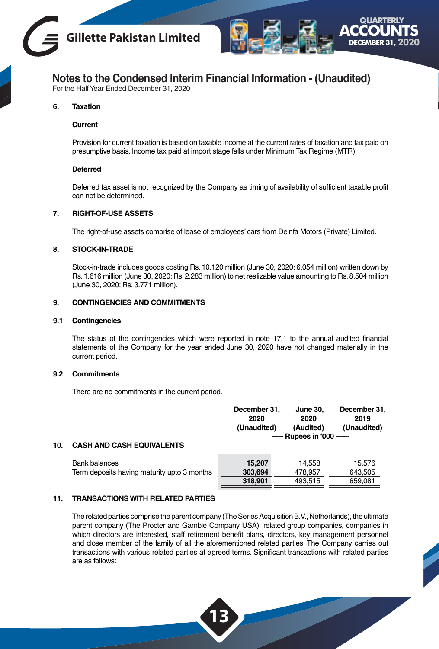



For the Half Year Ended December 31, 2020

#### **6. Taxation**

#### **Current**

Provision for current taxation is based on taxable income at the current rates of taxation and tax paid on presumptive basis. Income tax paid at import stage falls under Minimum Tax Regime (MTR).

#### **Deferred**

Deferred tax asset is not recognized by the Company as timing of availability of sufficient taxable profit can not be determined.

#### **7. RIGHT-OF-USE ASSETS**

The right-of-use assets comprise of lease of employees' cars from Deinfa Motors (Private) Limited.

#### **8. STOCK-IN-TRADE**

Stock-in-trade includes goods costing Rs. 10.120 million (June 30, 2020: 6.054 million) written down by Rs. 1.616 million (June 30, 2020: Rs. 2.283 million) to net realizable value amounting to Rs. 8.504 million (June 30, 2020: Rs. 3.771 million).

#### **9. CONTINGENCIES AND COMMITMENTS**

#### **9.1 Contingencies**

The status of the contingencies which were reported in note 17.1 to the annual audited financial statements of the Company for the year ended June 30, 2020 have not changed materially in the current period.

#### **9.2 Commitments**

There are no commitments in the current period.

| 10. | <b>CASH AND CASH EQUIVALENTS</b>            | December 31.<br>2020<br>(Unaudited) | <b>June 30.</b><br>2020<br>(Audited)<br>----- Rupees in '000 ------ | December 31,<br>2019<br>(Unaudited) |
|-----|---------------------------------------------|-------------------------------------|---------------------------------------------------------------------|-------------------------------------|
|     | <b>Bank balances</b>                        | 15.207                              | 14.558                                                              | 15.576                              |
|     | Term deposits having maturity upto 3 months | 303,694                             | 478.957                                                             | 643.505                             |
|     |                                             | 318,901                             | 493.515                                                             | 659,081                             |
|     |                                             |                                     |                                                                     |                                     |

#### **11. TRANSACTIONS WITH RELATED PARTIES**

The related parties comprise the parent company (The Series Acquisition B.V., Netherlands), the ultimate parent company (The Procter and Gamble Company USA), related group companies, companies in which directors are interested, staff retirement benefit plans, directors, key management personnel and close member of the family of all the aforementioned related parties. The Company carries out transactions with various related parties at agreed terms. Significant transactions with related parties are as follows: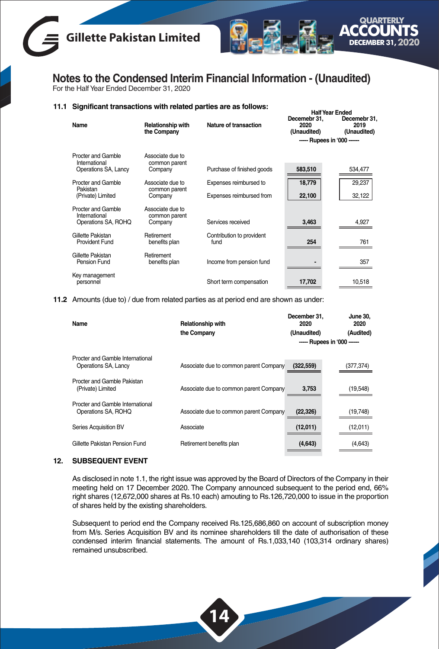



For the Half Year Ended December 31, 2020

#### **11.1 Significant transactions with related parties are as follows:** Half Year Ended

| Name                                  | <b>Relationship with</b><br>the Company | Nature of transaction             | Decemebr 31.<br>2020<br>(Unaudited) | Decemebr 31,<br>2019<br>(Unaudited) |
|---------------------------------------|-----------------------------------------|-----------------------------------|-------------------------------------|-------------------------------------|
|                                       |                                         |                                   | ----- Rupees in '000 ------         |                                     |
| Procter and Gamble                    | Associate due to                        |                                   |                                     |                                     |
| International<br>Operations SA, Lancy | common parent<br>Company                | Purchase of finished goods        | 583,510                             | 534,477                             |
| Procter and Gamble<br>Pakistan        | Associate due to                        | Expenses reimbursed to            | 18,779                              | 29,237                              |
| (Private) Limited                     | common parent<br>Company                | Expenses reimbursed from          | 22,100                              | 32,122                              |
| Procter and Gamble<br>International   | Associate due to<br>common parent       |                                   |                                     |                                     |
| Operations SA, ROHQ                   | Company                                 | Services received                 | 3,463                               | 4,927                               |
| Gillette Pakistan<br>Provident Fund   | Retirement<br>benefits plan             | Contribution to provident<br>fund | 254                                 | 761                                 |
| Gillette Pakistan<br>Pension Fund     | Retirement<br>benefits plan             | Income from pension fund          |                                     | 357                                 |
| Key management<br>personnel           |                                         | Short term compensation           | 17,702                              | 10,518                              |

**11.2** Amounts (due to) / due from related parties as at period end are shown as under:

| Name                             | <b>Relationship with</b>               | December 31.<br>2020        | June 30.<br>2020 |
|----------------------------------|----------------------------------------|-----------------------------|------------------|
|                                  | the Company                            | (Unaudited)                 | (Audited)        |
|                                  |                                        | ----- Rupees in '000 ------ |                  |
| Procter and Gamble International |                                        |                             |                  |
| Operations SA, Lancy             | Associate due to common parent Company | (322, 559)                  | (377,374)        |
| Procter and Gamble Pakistan      |                                        |                             |                  |
| (Private) Limited                | Associate due to common parent Company | 3,753                       | (19, 548)        |
| Procter and Gamble International |                                        |                             |                  |
| Operations SA, ROHQ              | Associate due to common parent Company | (22, 326)                   | (19, 748)        |
| Series Acquisition BV            | Associate                              | (12,011)                    | (12,011)         |
| Gillette Pakistan Pension Fund   | Retirement benefits plan               | (4,643)                     | (4,643)          |
|                                  |                                        |                             |                  |

#### **12. SUBSEQUENT EVENT**

As disclosed in note 1.1, the right issue was approved by the Board of Directors of the Company in their meeting held on 17 December 2020. The Company announced subsequent to the period end, 66% right shares (12,672,000 shares at Rs.10 each) amouting to Rs.126,720,000 to issue in the proportion of shares held by the existing shareholders.

Subsequent to period end the Company received Rs.125,686,860 on account of subscription money from M/s. Series Acquisition BV and its nominee shareholders till the date of authorisation of these condensed interim financial statements. The amount of Rs.1,033,140 (103,314 ordinary shares) remained unsubscribed.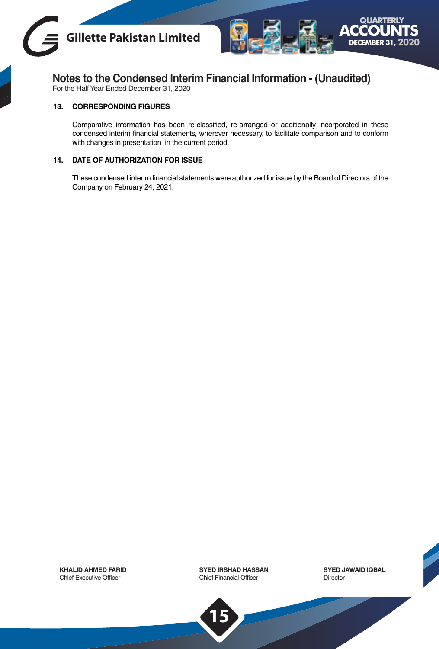



For the Half Year Ended December 31, 2020

#### **13. CORRESPONDING FIGURES**

Comparative information has been re-classified, re-arranged or additionally incorporated in these condensed interim financial statements, wherever necessary, to facilitate comparison and to conform with changes in presentation in the current period.

#### **14. DATE OF AUTHORIZATION FOR ISSUE**

These condensed interim financial statements were authorized for issue by the Board of Directors of the Company on February 24, 2021.

**KHALID AHMED FARID** Chief Executive Officer

**SYED IRSHAD HASSAN** Chief Financial Officer